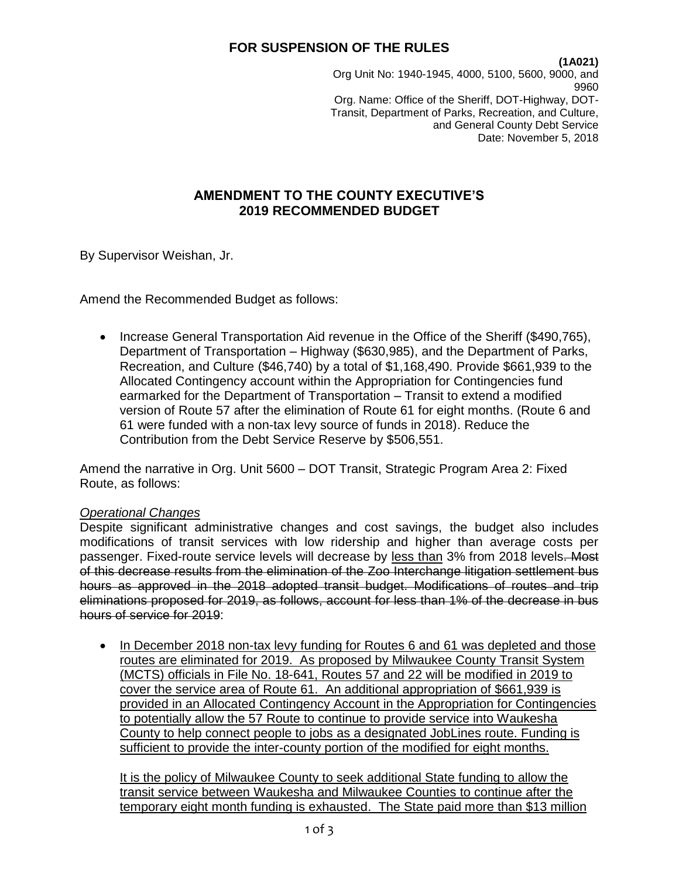**(1A021)**

Org Unit No: 1940-1945, 4000, 5100, 5600, 9000, and 9960 Org. Name: Office of the Sheriff, DOT-Highway, DOT-Transit, Department of Parks, Recreation, and Culture, and General County Debt Service Date: November 5, 2018

## **AMENDMENT TO THE COUNTY EXECUTIVE'S 2019 RECOMMENDED BUDGET**

By Supervisor Weishan, Jr.

Amend the Recommended Budget as follows:

• Increase General Transportation Aid revenue in the Office of the Sheriff (\$490,765), Department of Transportation – Highway (\$630,985), and the Department of Parks, Recreation, and Culture (\$46,740) by a total of \$1,168,490. Provide \$661,939 to the Allocated Contingency account within the Appropriation for Contingencies fund earmarked for the Department of Transportation – Transit to extend a modified version of Route 57 after the elimination of Route 61 for eight months. (Route 6 and 61 were funded with a non-tax levy source of funds in 2018). Reduce the Contribution from the Debt Service Reserve by \$506,551.

Amend the narrative in Org. Unit 5600 – DOT Transit, Strategic Program Area 2: Fixed Route, as follows:

### *Operational Changes*

Despite significant administrative changes and cost savings, the budget also includes modifications of transit services with low ridership and higher than average costs per passenger. Fixed-route service levels will decrease by less than 3% from 2018 levels. Most of this decrease results from the elimination of the Zoo Interchange litigation settlement bus hours as approved in the 2018 adopted transit budget. Modifications of routes and trip eliminations proposed for 2019, as follows, account for less than 1% of the decrease in bus hours of service for 2019:

• In December 2018 non-tax levy funding for Routes 6 and 61 was depleted and those routes are eliminated for 2019. As proposed by Milwaukee County Transit System (MCTS) officials in File No. 18-641, Routes 57 and 22 will be modified in 2019 to cover the service area of Route 61. An additional appropriation of \$661,939 is provided in an Allocated Contingency Account in the Appropriation for Contingencies to potentially allow the 57 Route to continue to provide service into Waukesha County to help connect people to jobs as a designated JobLines route. Funding is sufficient to provide the inter-county portion of the modified for eight months.

It is the policy of Milwaukee County to seek additional State funding to allow the transit service between Waukesha and Milwaukee Counties to continue after the temporary eight month funding is exhausted. The State paid more than \$13 million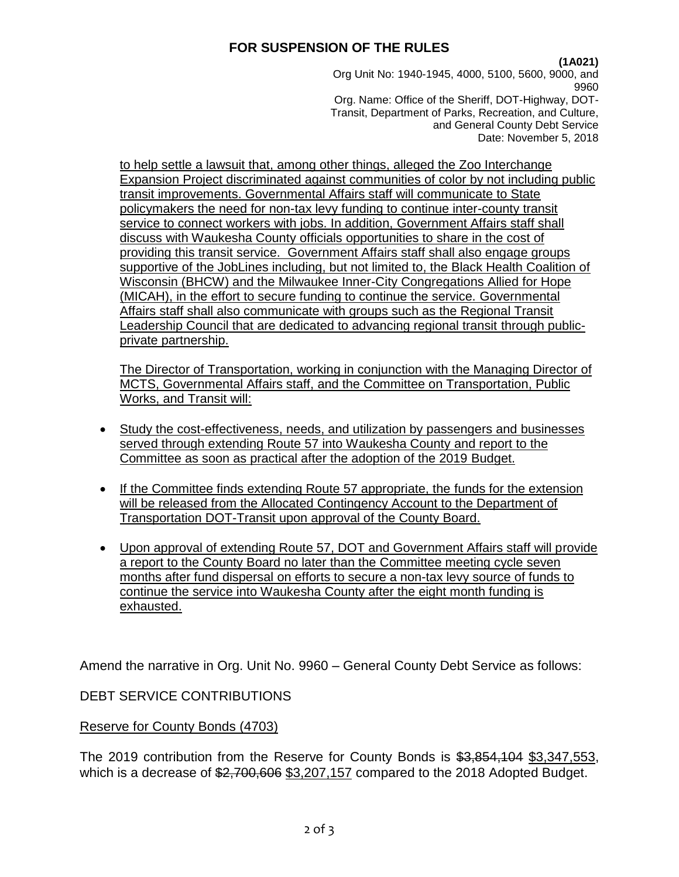### **(1A021)**

Org Unit No: 1940-1945, 4000, 5100, 5600, 9000, and 9960 Org. Name: Office of the Sheriff, DOT-Highway, DOT-Transit, Department of Parks, Recreation, and Culture, and General County Debt Service Date: November 5, 2018

to help settle a lawsuit that, among other things, alleged the Zoo Interchange Expansion Project discriminated against communities of color by not including public transit improvements. Governmental Affairs staff will communicate to State policymakers the need for non-tax levy funding to continue inter-county transit service to connect workers with jobs. In addition, Government Affairs staff shall discuss with Waukesha County officials opportunities to share in the cost of providing this transit service. Government Affairs staff shall also engage groups supportive of the JobLines including, but not limited to, the Black Health Coalition of Wisconsin (BHCW) and the Milwaukee Inner-City Congregations Allied for Hope (MICAH), in the effort to secure funding to continue the service. Governmental Affairs staff shall also communicate with groups such as the Regional Transit Leadership Council that are dedicated to advancing regional transit through publicprivate partnership.

The Director of Transportation, working in conjunction with the Managing Director of MCTS, Governmental Affairs staff, and the Committee on Transportation, Public Works, and Transit will:

- Study the cost-effectiveness, needs, and utilization by passengers and businesses served through extending Route 57 into Waukesha County and report to the Committee as soon as practical after the adoption of the 2019 Budget.
- If the Committee finds extending Route 57 appropriate, the funds for the extension will be released from the Allocated Contingency Account to the Department of Transportation DOT-Transit upon approval of the County Board.
- Upon approval of extending Route 57, DOT and Government Affairs staff will provide a report to the County Board no later than the Committee meeting cycle seven months after fund dispersal on efforts to secure a non-tax levy source of funds to continue the service into Waukesha County after the eight month funding is exhausted.

Amend the narrative in Org. Unit No. 9960 – General County Debt Service as follows:

DEBT SERVICE CONTRIBUTIONS

Reserve for County Bonds (4703)

The 2019 contribution from the Reserve for County Bonds is \$3,854,104 \$3,347,553, which is a decrease of \$2,700,606 \$3,207,157 compared to the 2018 Adopted Budget.